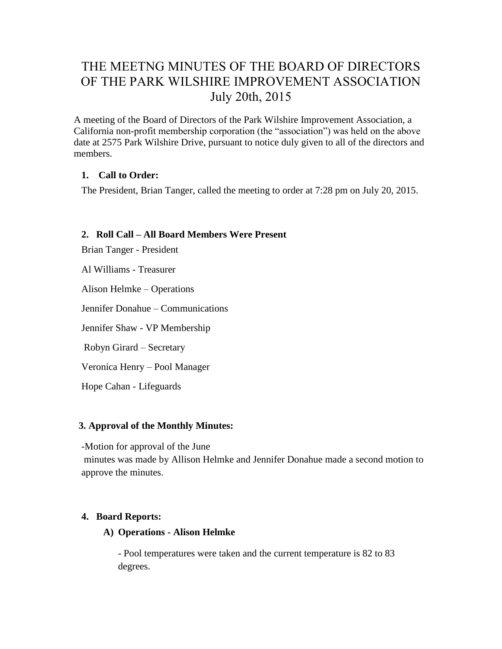# THE MEETNG MINUTES OF THE BOARD OF DIRECTORS OF THE PARK WILSHIRE IMPROVEMENT ASSOCIATION July 20th, 2015

A meeting of the Board of Directors of the Park Wilshire Improvement Association, a California non-profit membership corporation (the "association") was held on the above date at 2575 Park Wilshire Drive, pursuant to notice duly given to all of the directors and members.

## **1. Call to Order:**

The President, Brian Tanger, called the meeting to order at 7:28 pm on July 20, 2015.

## **2. Roll Call – All Board Members Were Present**

Brian Tanger - President

Al Williams - Treasurer

Alison Helmke – Operations

Jennifer Donahue – Communications

Jennifer Shaw - VP Membership

Robyn Girard – Secretary

Veronica Henry – Pool Manager

Hope Cahan - Lifeguards

#### **3. Approval of the Monthly Minutes:**

-Motion for approval of the June

minutes was made by Allison Helmke and Jennifer Donahue made a second motion to approve the minutes.

#### **4. Board Reports:**

#### **A) Operations - Alison Helmke**

- Pool temperatures were taken and the current temperature is 82 to 83 degrees.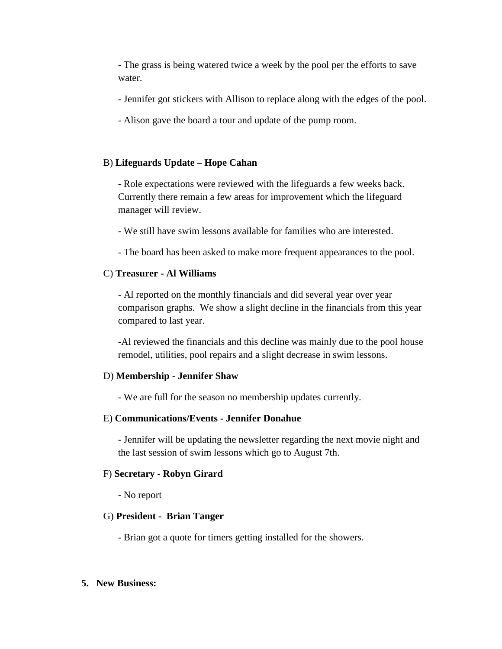- The grass is being watered twice a week by the pool per the efforts to save water.

- Jennifer got stickers with Allison to replace along with the edges of the pool.
- Alison gave the board a tour and update of the pump room.

#### B) **Lifeguards Update – Hope Cahan**

- Role expectations were reviewed with the lifeguards a few weeks back. Currently there remain a few areas for improvement which the lifeguard manager will review.

- We still have swim lessons available for families who are interested.

- The board has been asked to make more frequent appearances to the pool.

#### C) **Treasurer - Al Williams**

- Al reported on the monthly financials and did several year over year comparison graphs. We show a slight decline in the financials from this year compared to last year.

-Al reviewed the financials and this decline was mainly due to the pool house remodel, utilities, pool repairs and a slight decrease in swim lessons.

#### D) **Membership - Jennifer Shaw**

- We are full for the season no membership updates currently.

#### E) **Communications/Events - Jennifer Donahue**

- Jennifer will be updating the newsletter regarding the next movie night and the last session of swim lessons which go to August 7th.

#### F) **Secretary - Robyn Girard**

- No report

#### G) **President - Brian Tanger**

- Brian got a quote for timers getting installed for the showers.

#### **5. New Business:**